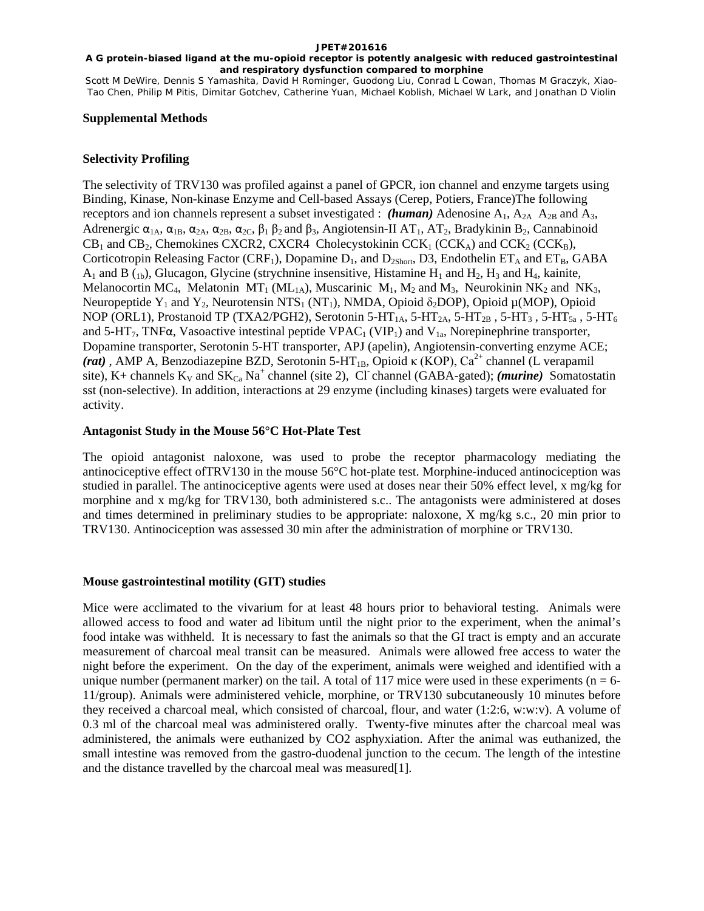#### **A G protein-biased ligand at the mu-opioid receptor is potently analgesic with reduced gastrointestinal and respiratory dysfunction compared to morphine**

Scott M DeWire, Dennis S Yamashita, David H Rominger, Guodong Liu, Conrad L Cowan, Thomas M Graczyk, Xiao-Tao Chen, Philip M Pitis, Dimitar Gotchev, Catherine Yuan, Michael Koblish, Michael W Lark, and Jonathan D Violin

### **Supplemental Methods**

# **Selectivity Profiling**

The selectivity of TRV130 was profiled against a panel of GPCR, ion channel and enzyme targets using Binding, Kinase, Non-kinase Enzyme and Cell-based Assays (Cerep, Potiers, France)The following receptors and ion channels represent a subset investigated : *(human)* Adenosine  $A_1$ ,  $A_{2A}$   $A_{2B}$  and  $A_3$ , Adrenergic α1A, α1B, α2A, α2B, α2C, β<sup>1</sup> β2 and β3, Angiotensin-II AT1*,* AT2, Bradykinin B2*,* Cannabinoid  $CB_1$  and  $CB_2$ , Chemokines CXCR2, CXCR4 Cholecystokinin CCK<sub>1</sub> (CCK<sub>A</sub>) and CCK<sub>2</sub> (CCK<sub>B</sub>), Corticotropin Releasing Factor (CRF<sub>1</sub>), Dopamine  $D_1$ , and  $D_{2Short}$ , D3, Endothelin ET<sub>A</sub> and ET<sub>B</sub>, GABA  $A_1$  and B (<sub>1b</sub>), Glucagon, Glycine (strychnine insensitive, Histamine H<sub>1</sub> and H<sub>2</sub>, H<sub>3</sub> and H<sub>4</sub>, kainite, Melanocortin MC<sub>4</sub>, Melatonin MT<sub>1</sub> (ML<sub>1A</sub>), Muscarinic M<sub>1</sub>, M<sub>2</sub> and M<sub>3</sub>, Neurokinin NK<sub>2</sub> and NK<sub>3</sub>, Neuropeptide Y1 and Y2*,* Neurotensin NTS1 (NT1), NMDA, Opioid δ2DOP)*,* Opioid µ(MOP), Opioid NOP (ORL1), Prostanoid TP (TXA2/PGH2), Serotonin 5-HT<sub>1A</sub>, 5-HT<sub>2A</sub>, 5-HT<sub>2B</sub>, 5-HT<sub>3</sub>, 5-HT<sub>5a</sub>, 5-HT<sub>6</sub> and 5-HT<sub>7</sub>, TNF $\alpha$ , Vasoactive intestinal peptide VPAC<sub>1</sub> (VIP<sub>1</sub>) and V<sub>1a</sub>, Norepinephrine transporter, Dopamine transporter, Serotonin 5-HT transporter, APJ (apelin), Angiotensin-converting enzyme ACE; *(rat)*, AMP A, Benzodiazepine BZD, Serotonin 5-HT<sub>1B</sub>, Opioid κ (KOP), Ca<sup>2+</sup> channel (L verapamil site), K+ channels  $K_v$  and  $SK_{Ca}$  Na<sup>+</sup> channel (site 2), Cl channel (GABA-gated); *(murine*) Somatostatin sst (non-selective). In addition, interactions at 29 enzyme (including kinases) targets were evaluated for activity.

# **Antagonist Study in the Mouse 56°C Hot-Plate Test**

The opioid antagonist naloxone, was used to probe the receptor pharmacology mediating the antinociceptive effect ofTRV130 in the mouse 56°C hot-plate test. Morphine-induced antinociception was studied in parallel. The antinociceptive agents were used at doses near their 50% effect level, x mg/kg for morphine and x mg/kg for TRV130, both administered s.c.. The antagonists were administered at doses and times determined in preliminary studies to be appropriate: naloxone, X mg/kg s.c., 20 min prior to TRV130. Antinociception was assessed 30 min after the administration of morphine or TRV130.

# **Mouse gastrointestinal motility (GIT) studies**

Mice were acclimated to the vivarium for at least 48 hours prior to behavioral testing. Animals were allowed access to food and water ad libitum until the night prior to the experiment, when the animal's food intake was withheld. It is necessary to fast the animals so that the GI tract is empty and an accurate measurement of charcoal meal transit can be measured. Animals were allowed free access to water the night before the experiment. On the day of the experiment, animals were weighed and identified with a unique number (permanent marker) on the tail. A total of 117 mice were used in these experiments ( $n = 6$ -11/group). Animals were administered vehicle, morphine, or TRV130 subcutaneously 10 minutes before they received a charcoal meal, which consisted of charcoal, flour, and water (1:2:6, w:w:v). A volume of 0.3 ml of the charcoal meal was administered orally. Twenty-five minutes after the charcoal meal was administered, the animals were euthanized by CO2 asphyxiation. After the animal was euthanized, the small intestine was removed from the gastro-duodenal junction to the cecum. The length of the intestine and the distance travelled by the charcoal meal was measured[1].